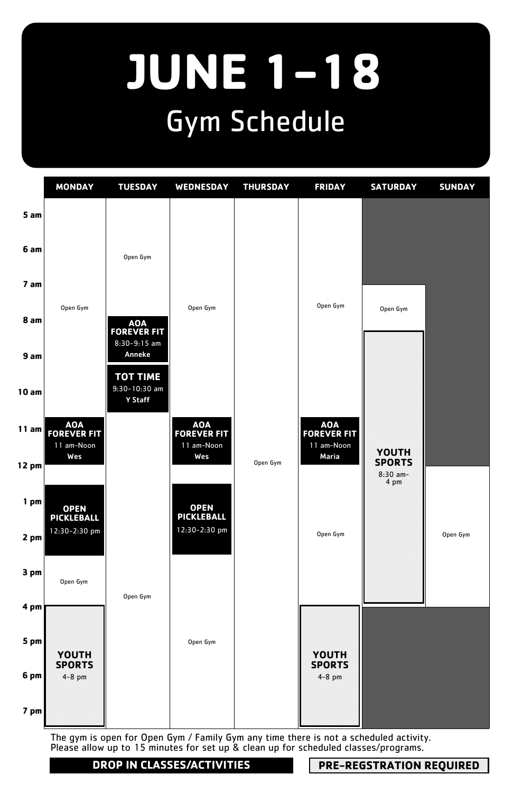### **JUNE 1-18** Gym Schedule

The gym is open for Open Gym / Family Gym any time there is not a scheduled activity. Please allow up to 15 minutes for set up & clean up for scheduled classes/programs.



**DROP IN CLASSES/ACTIVITIES PRE-REGSTRATION REQUIRED**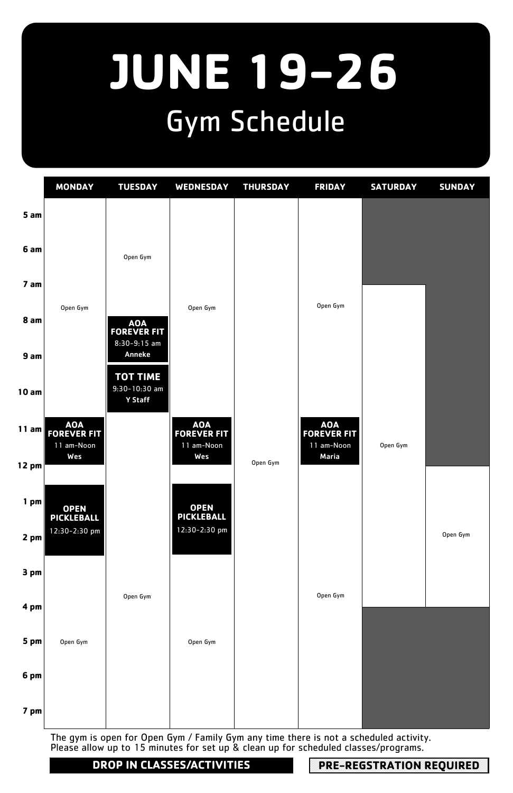# **JUNE 19-26** Gym Schedule

|                   | <b>MONDAY</b>              | <b>TUESDAY</b>                                       | WEDNESDAY          | <b>THURSDAY</b> | <b>FRIDAY</b>              | <b>SATURDAY</b> | <b>SUNDAY</b> |
|-------------------|----------------------------|------------------------------------------------------|--------------------|-----------------|----------------------------|-----------------|---------------|
| 5 am              |                            |                                                      |                    |                 |                            |                 |               |
| 6 am              |                            | Open Gym                                             |                    |                 |                            |                 |               |
| 7 am              |                            |                                                      |                    |                 |                            |                 |               |
| 8 am              | Open Gym                   | AOA<br>FOREVER FIT<br>$8:30-9:15$ am                 | Open Gym           |                 | Open Gym                   |                 |               |
| 9am               |                            | <b>Anneke</b>                                        |                    |                 |                            |                 |               |
| 10am              |                            | <b>TOT TIME</b><br>$9:30-10:30$ am<br><b>Y Staff</b> |                    |                 |                            |                 |               |
| 11 am $\parallel$ | AOA<br>FOREVER FIT         |                                                      | AOA<br>FOREVER FIT |                 | AOA<br>FOREVER FIT         |                 |               |
| 12 pm $\vert$     | 11 am-Noon<br>Wes          |                                                      | 11 am-Noon<br>Wes  | Open Gym        | 11 am-Noon<br><b>Maria</b> | Open Gym        |               |
| $1$ pm            | <b>OPEN<br/>PICKLEBALL</b> |                                                      | OPEN<br>PICKLEBALL |                 |                            |                 |               |
| $2$ pm            | 12:30-2:30 pm              |                                                      | 12:30-2:30 pm      |                 |                            |                 | Open Gym      |
| 3 pm              |                            |                                                      |                    |                 |                            |                 |               |
| 4 pm              |                            | Open Gym                                             |                    |                 | Open Gym                   |                 |               |
| 5 pm              | Open Gym                   |                                                      | Open Gym           |                 |                            |                 |               |
| 6 pm              |                            |                                                      |                    |                 |                            |                 |               |
| 7 pm              |                            |                                                      |                    |                 |                            |                 |               |

The gym is open for Open Gym / Family Gym any time there is not a scheduled activity. Please allow up to 15 minutes for set up & clean up for scheduled classes/programs.

**DROP IN CLASSES/ACTIVITIES PRE-REGSTRATION REQUIRED**